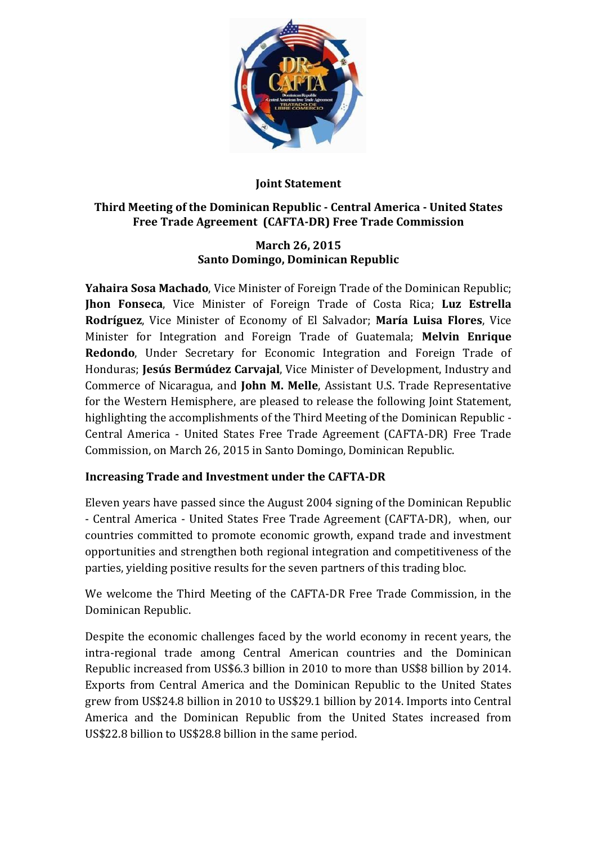

### **Joint Statement**

### **Third Meeting of the Dominican Republic - Central America - United States Free Trade Agreement (CAFTA-DR) Free Trade Commission**

#### **March 26, 2015 Santo Domingo, Dominican Republic**

**Yahaira Sosa Machado**, Vice Minister of Foreign Trade of the Dominican Republic; **Jhon Fonseca**, Vice Minister of Foreign Trade of Costa Rica; **Luz Estrella Rodríguez**, Vice Minister of Economy of El Salvador; **María Luisa Flores**, Vice Minister for Integration and Foreign Trade of Guatemala; **Melvin Enrique Redondo**, Under Secretary for Economic Integration and Foreign Trade of Honduras; **Jesús Bermúdez Carvajal**, Vice Minister of Development, Industry and Commerce of Nicaragua, and **John M. Melle**, Assistant U.S. Trade Representative for the Western Hemisphere, are pleased to release the following Joint Statement, highlighting the accomplishments of the Third Meeting of the Dominican Republic - Central America - United States Free Trade Agreement (CAFTA-DR) Free Trade Commission, on March 26, 2015 in Santo Domingo, Dominican Republic.

# **Increasing Trade and Investment under the CAFTA-DR**

Eleven years have passed since the August 2004 signing of the Dominican Republic - Central America - United States Free Trade Agreement (CAFTA-DR), when, our countries committed to promote economic growth, expand trade and investment opportunities and strengthen both regional integration and competitiveness of the parties, yielding positive results for the seven partners of this trading bloc.

We welcome the Third Meeting of the CAFTA-DR Free Trade Commission, in the Dominican Republic.

Despite the economic challenges faced by the world economy in recent years, the intra-regional trade among Central American countries and the Dominican Republic increased from US\$6.3 billion in 2010 to more than US\$8 billion by 2014. Exports from Central America and the Dominican Republic to the United States grew from US\$24.8 billion in 2010 to US\$29.1 billion by 2014. Imports into Central America and the Dominican Republic from the United States increased from US\$22.8 billion to US\$28.8 billion in the same period.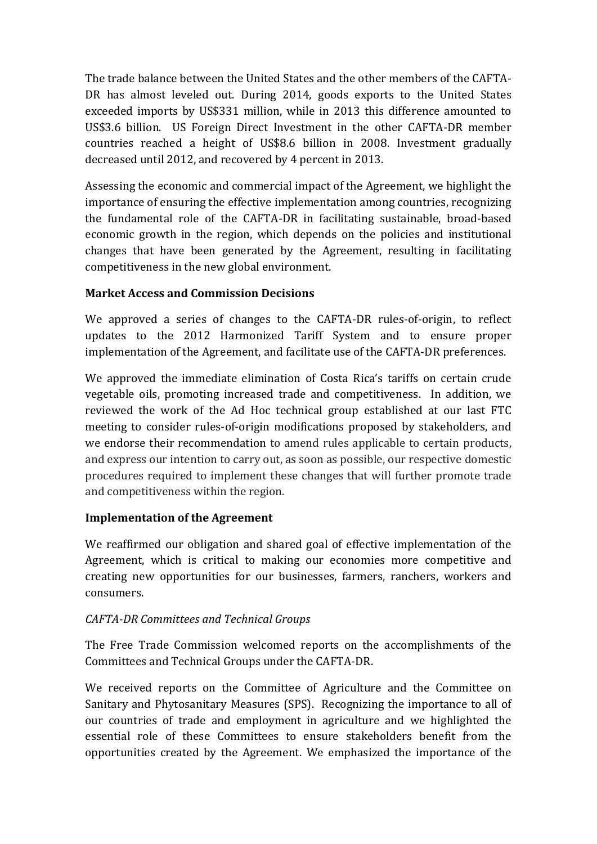The trade balance between the United States and the other members of the CAFTA-DR has almost leveled out. During 2014, goods exports to the United States exceeded imports by US\$331 million, while in 2013 this difference amounted to US\$3.6 billion. US Foreign Direct Investment in the other CAFTA-DR member countries reached a height of US\$8.6 billion in 2008. Investment gradually decreased until 2012, and recovered by 4 percent in 2013.

Assessing the economic and commercial impact of the Agreement, we highlight the importance of ensuring the effective implementation among countries, recognizing the fundamental role of the CAFTA-DR in facilitating sustainable, broad-based economic growth in the region, which depends on the policies and institutional changes that have been generated by the Agreement, resulting in facilitating competitiveness in the new global environment.

## **Market Access and Commission Decisions**

We approved a series of changes to the CAFTA-DR rules-of-origin, to reflect updates to the 2012 Harmonized Tariff System and to ensure proper implementation of the Agreement, and facilitate use of the CAFTA-DR preferences.

We approved the immediate elimination of Costa Rica's tariffs on certain crude vegetable oils, promoting increased trade and competitiveness. In addition, we reviewed the work of the Ad Hoc technical group established at our last FTC meeting to consider rules-of-origin modifications proposed by stakeholders, and we endorse their recommendation to amend rules applicable to certain products, and express our intention to carry out, as soon as possible, our respective domestic procedures required to implement these changes that will further promote trade and competitiveness within the region.

#### **Implementation of the Agreement**

We reaffirmed our obligation and shared goal of effective implementation of the Agreement, which is critical to making our economies more competitive and creating new opportunities for our businesses, farmers, ranchers, workers and consumers.

# *CAFTA-DR Committees and Technical Groups*

The Free Trade Commission welcomed reports on the accomplishments of the Committees and Technical Groups under the CAFTA-DR.

We received reports on the Committee of Agriculture and the Committee on Sanitary and Phytosanitary Measures (SPS). Recognizing the importance to all of our countries of trade and employment in agriculture and we highlighted the essential role of these Committees to ensure stakeholders benefit from the opportunities created by the Agreement. We emphasized the importance of the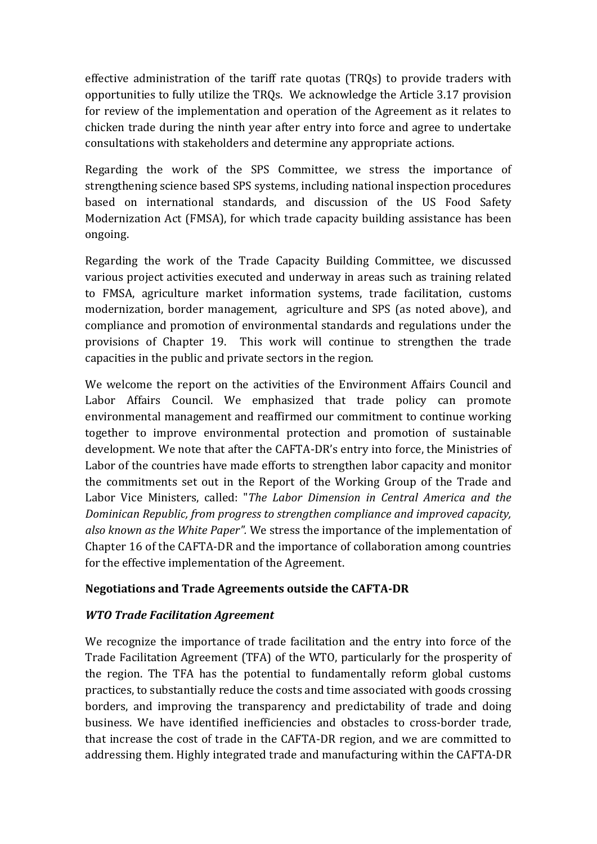effective administration of the tariff rate quotas (TRQs) to provide traders with opportunities to fully utilize the TRQs. We acknowledge the Article 3.17 provision for review of the implementation and operation of the Agreement as it relates to chicken trade during the ninth year after entry into force and agree to undertake consultations with stakeholders and determine any appropriate actions.

Regarding the work of the SPS Committee, we stress the importance of strengthening science based SPS systems, including national inspection procedures based on international standards, and discussion of the US Food Safety Modernization Act (FMSA), for which trade capacity building assistance has been ongoing.

Regarding the work of the Trade Capacity Building Committee, we discussed various project activities executed and underway in areas such as training related to FMSA, agriculture market information systems, trade facilitation, customs modernization, border management, agriculture and SPS (as noted above), and compliance and promotion of environmental standards and regulations under the provisions of Chapter 19. This work will continue to strengthen the trade capacities in the public and private sectors in the region.

We welcome the report on the activities of the Environment Affairs Council and Labor Affairs Council. We emphasized that trade policy can promote environmental management and reaffirmed our commitment to continue working together to improve environmental protection and promotion of sustainable development. We note that after the CAFTA-DR's entry into force, the Ministries of Labor of the countries have made efforts to strengthen labor capacity and monitor the commitments set out in the Report of the Working Group of the Trade and Labor Vice Ministers, called: "*The Labor Dimension in Central America and the Dominican Republic, from progress to strengthen compliance and improved capacity, also known as the White Paper".* We stress the importance of the implementation of Chapter 16 of the CAFTA-DR and the importance of collaboration among countries for the effective implementation of the Agreement.

#### **Negotiations and Trade Agreements outside the CAFTA-DR**

#### *WTO Trade Facilitation Agreement*

We recognize the importance of trade facilitation and the entry into force of the Trade Facilitation Agreement (TFA) of the WTO, particularly for the prosperity of the region. The TFA has the potential to fundamentally reform global customs practices, to substantially reduce the costs and time associated with goods crossing borders, and improving the transparency and predictability of trade and doing business. We have identified inefficiencies and obstacles to cross-border trade, that increase the cost of trade in the CAFTA-DR region, and we are committed to addressing them. Highly integrated trade and manufacturing within the CAFTA-DR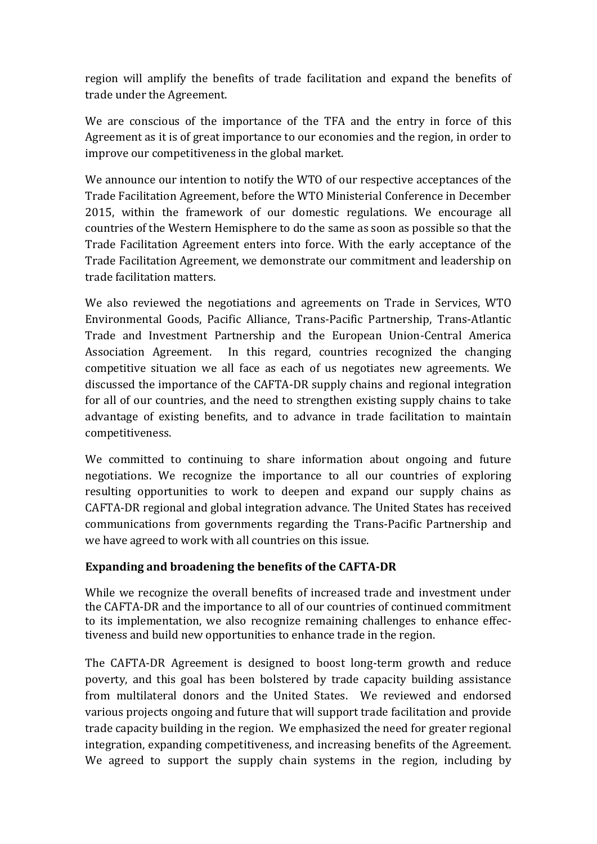region will amplify the benefits of trade facilitation and expand the benefits of trade under the Agreement.

We are conscious of the importance of the TFA and the entry in force of this Agreement as it is of great importance to our economies and the region, in order to improve our competitiveness in the global market.

We announce our intention to notify the WTO of our respective acceptances of the Trade Facilitation Agreement, before the WTO Ministerial Conference in December 2015, within the framework of our domestic regulations. We encourage all countries of the Western Hemisphere to do the same as soon as possible so that the Trade Facilitation Agreement enters into force. With the early acceptance of the Trade Facilitation Agreement, we demonstrate our commitment and leadership on trade facilitation matters.

We also reviewed the negotiations and agreements on Trade in Services, WTO Environmental Goods, Pacific Alliance, Trans-Pacific Partnership, Trans-Atlantic Trade and Investment Partnership and the European Union-Central America Association Agreement. In this regard, countries recognized the changing competitive situation we all face as each of us negotiates new agreements. We discussed the importance of the CAFTA-DR supply chains and regional integration for all of our countries, and the need to strengthen existing supply chains to take advantage of existing benefits, and to advance in trade facilitation to maintain competitiveness.

We committed to continuing to share information about ongoing and future negotiations. We recognize the importance to all our countries of exploring resulting opportunities to work to deepen and expand our supply chains as CAFTA-DR regional and global integration advance. The United States has received communications from governments regarding the Trans-Pacific Partnership and we have agreed to work with all countries on this issue.

#### **Expanding and broadening the benefits of the CAFTA-DR**

While we recognize the overall benefits of increased trade and investment under the CAFTA-DR and the importance to all of our countries of continued commitment to its implementation, we also recognize remaining challenges to enhance effectiveness and build new opportunities to enhance trade in the region.

The CAFTA-DR Agreement is designed to boost long-term growth and reduce poverty, and this goal has been bolstered by trade capacity building assistance from multilateral donors and the United States. We reviewed and endorsed various projects ongoing and future that will support trade facilitation and provide trade capacity building in the region. We emphasized the need for greater regional integration, expanding competitiveness, and increasing benefits of the Agreement. We agreed to support the supply chain systems in the region, including by